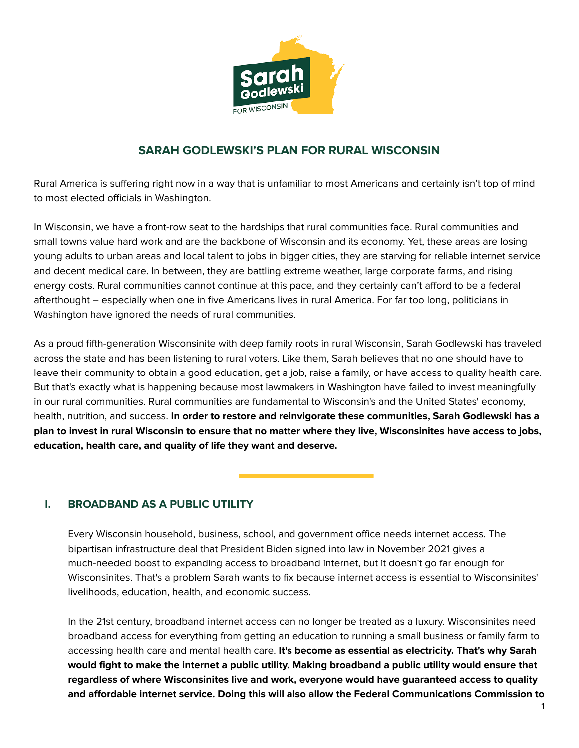

# **SARAH GODLEWSKI'S PLAN FOR RURAL WISCONSIN**

Rural America is suffering right now in a way that is unfamiliar to most Americans and certainly isn't top of mind to most elected officials in Washington.

In Wisconsin, we have a front-row seat to the hardships that rural communities face. Rural communities and small towns value hard work and are the backbone of Wisconsin and its economy. Yet, these areas are losing young adults to urban areas and local talent to jobs in bigger cities, they are starving for reliable internet service and decent medical care. In between, they are battling extreme weather, large corporate farms, and rising energy costs. Rural communities cannot continue at this pace, and they certainly can't afford to be a federal afterthought – especially when one in five Americans lives in rural America. For far too long, politicians in Washington have ignored the needs of rural communities.

As a proud fifth-generation Wisconsinite with deep family roots in rural Wisconsin, Sarah Godlewski has traveled across the state and has been listening to rural voters. Like them, Sarah believes that no one should have to leave their community to obtain a good education, get a job, raise a family, or have access to quality health care. But that's exactly what is happening because most lawmakers in Washington have failed to invest meaningfully in our rural communities. Rural communities are fundamental to Wisconsin's and the United States' economy, health, nutrition, and success. **In order to restore and reinvigorate these communities, Sarah Godlewski has a** plan to invest in rural Wisconsin to ensure that no matter where they live, Wisconsinites have access to jobs, **education, health care, and quality of life they want and deserve.**

## **I. BROADBAND AS A PUBLIC UTILITY**

Every Wisconsin household, business, school, and government office needs internet access. The bipartisan infrastructure deal that President Biden signed into law in November 2021 gives a much-needed boost to expanding access to broadband internet, but it doesn't go far enough for Wisconsinites. That's a problem Sarah wants to fix because internet access is essential to Wisconsinites' livelihoods, education, health, and economic success.

In the 21st century, broadband internet access can no longer be treated as a luxury. Wisconsinites need broadband access for everything from getting an education to running a small business or family farm to accessing health care and mental health care. **It's become as essential as electricity. That's why Sarah would fight to make the internet a public utility. Making broadband a public utility would ensure that regardless of where Wisconsinites live and work, everyone would have guaranteed access to quality and affordable internet service. Doing this will also allow the Federal Communications Commission to**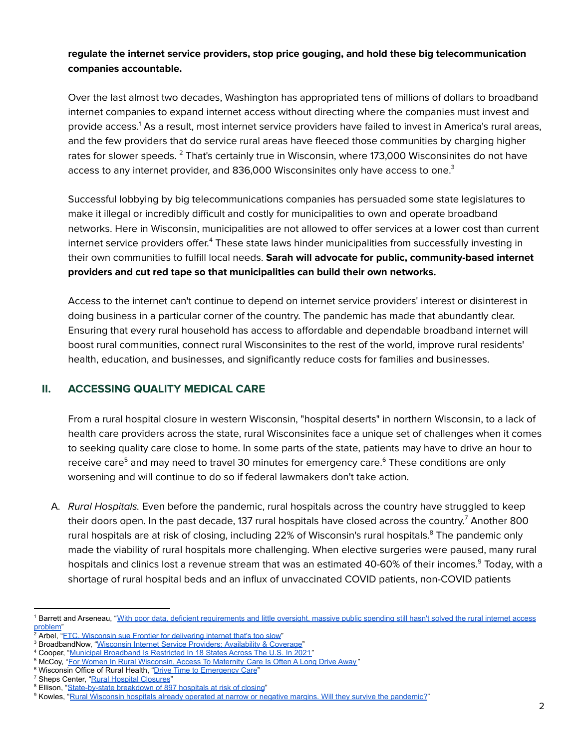#### **regulate the internet service providers, stop price gouging, and hold these big telecommunication companies accountable.**

Over the last almost two decades, Washington has appropriated tens of millions of dollars to broadband internet companies to expand internet access without directing where the companies must invest and provide access. <sup>1</sup> As a result, most internet service providers have failed to invest in America's rural areas, and the few providers that do service rural areas have fleeced those communities by charging higher rates for slower speeds. <sup>2</sup> That's certainly true in Wisconsin, where 173,000 Wisconsinites do not have access to any internet provider, and 836,000 Wisconsinites only have access to one. $^3$ 

Successful lobbying by big telecommunications companies has persuaded some state legislatures to make it illegal or incredibly difficult and costly for municipalities to own and operate broadband networks. Here in Wisconsin, municipalities are not allowed to offer services at a lower cost than current internet service providers offer.<sup>4</sup> These state laws hinder municipalities from successfully investing in their own communities to fulfill local needs. **Sarah will advocate for public, community-based internet providers and cut red tape so that municipalities can build their own networks.**

Access to the internet can't continue to depend on internet service providers' interest or disinterest in doing business in a particular corner of the country. The pandemic has made that abundantly clear. Ensuring that every rural household has access to affordable and dependable broadband internet will boost rural communities, connect rural Wisconsinites to the rest of the world, improve rural residents' health, education, and businesses, and significantly reduce costs for families and businesses.

## **II. ACCESSING QUALITY MEDICAL CARE**

From a rural hospital closure in western Wisconsin, "hospital deserts" in northern Wisconsin, to a lack of health care providers across the state, rural Wisconsinites face a unique set of challenges when it comes to seeking quality care close to home. In some parts of the state, patients may have to drive an hour to receive care<sup>5</sup> and may need to travel 30 minutes for emergency care.<sup>6</sup> These conditions are only worsening and will continue to do so if federal lawmakers don't take action.

A. Rural Hospitals. Even before the pandemic, rural hospitals across the country have struggled to keep their doors open. In the past decade, 137 rural hospitals have closed across the country. <sup>7</sup> Another 800 rural hospitals are at risk of closing, including 22% of Wisconsin's rural hospitals. <sup>8</sup> The pandemic only made the viability of rural hospitals more challenging. When elective surgeries were paused, many rural hospitals and clinics lost a revenue stream that was an estimated 40-60% of their incomes.<sup>9</sup> Today, with a shortage of rural hospital beds and an influx of unvaccinated COVID patients, non-COVID patients

<sup>1</sup> Barrett and Arseneau, "With poor data, deficient [requirements](https://www.jsonline.com/in-depth/news/2021/07/14/weve-spent-billions-provide-broadband-rural-areas-what-failed-wisconsin/7145014002/) and little oversight, massive public spending still hasn't solved the rural internet access [problem"](https://www.jsonline.com/in-depth/news/2021/07/14/weve-spent-billions-provide-broadband-rural-areas-what-failed-wisconsin/7145014002/)

<sup>&</sup>lt;sup>2</sup> Arbel, "FTC, [Wisconsin](https://madison.com/wsj/news/local/govt-and-politics/ftc-wisconsin-sue-frontier-for-delivering-internet-thats-too-slow/article_54c9c3dc-48e1-564e-8c15-47a962bebcc8.html) sue Frontier for delivering internet that's too slow"

<sup>&</sup>lt;sup>3</sup> BroadbandNow, "Wisconsin Internet Service Providers: [Availability](https://broadbandnow.com/Wisconsin) & Coverage"

<sup>&</sup>lt;sup>4</sup> Cooper, "Municipal [Broadband](https://broadbandnow.com/report/municipal-broadband-roadblocks/) Is Restricted In 18 States Across The U.S. In 2021"

<sup>&</sup>lt;sup>5</sup> McCoy, "For Women In Rural [Wisconsin,](https://www.wpr.org/women-rural-wisconsin-access-maternity-care-often-long-drive-away) Access To Maternity Care Is Often A Long Drive Away"

<sup>&</sup>lt;sup>6</sup> Wisconsin Office of Rural Health, "Drive Time to [Emergency](http://worh.org/library/drive-time-emergency-care) Care"

<sup>&</sup>lt;sup>7</sup> Sheps Center, "Rural Hospital [Closures](https://www.shepscenter.unc.edu/programs-projects/rural-health/rural-hospital-closures/)"

<sup>&</sup>lt;sup>8</sup> Ellison, "[State-by-state](https://www.beckershospitalreview.com/finance/state-by-state-breakdown-of-897-hospitals-at-risk-of-closing.html) breakdown of 897 hospitals at risk of closing"

<sup>&</sup>lt;sup>9</sup> Kowles, "Rural Wisconsin hospitals already operated at narrow or negative margins. Will they survive the [pandemic?](https://www.wsaw.com/content/news/Rural-hospitals-in-Wisconsin-were-already-operating-at-narrow-or-negative-margins-Will-they-survive-the-pandemic-570064181.html)"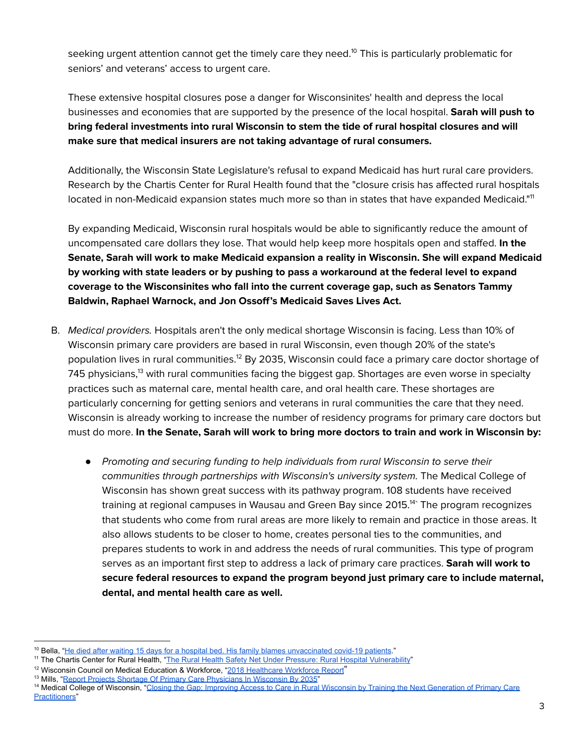seeking urgent attention cannot get the timely care they need. $^{\rm 10}$  This is particularly problematic for seniors' and veterans' access to urgent care.

These extensive hospital closures pose a danger for Wisconsinites' health and depress the local businesses and economies that are supported by the presence of the local hospital. **Sarah will push to bring federal investments into rural Wisconsin to stem the tide of rural hospital closures and will make sure that medical insurers are not taking advantage of rural consumers.**

Additionally, the Wisconsin State Legislature's refusal to expand Medicaid has hurt rural care providers. Research by the Chartis Center for Rural Health found that the "closure crisis has affected rural hospitals located in non-Medicaid expansion states much more so than in states that have expanded Medicaid."<sup>11</sup>

By expanding Medicaid, Wisconsin rural hospitals would be able to significantly reduce the amount of uncompensated care dollars they lose. That would help keep more hospitals open and staffed. **In the Senate, Sarah will work to make Medicaid expansion a reality in Wisconsin. She will expand Medicaid by working with state leaders or by pushing to pass a workaround at the federal level to expand coverage to the Wisconsinites who fall into the current coverage gap, such as Senators Tammy Baldwin, Raphael Warnock, and Jon Ossoff's Medicaid Saves Lives Act.**

- B. Medical providers. Hospitals aren't the only medical shortage Wisconsin is facing. Less than 10% of Wisconsin primary care providers are based in rural Wisconsin, even though 20% of the state's population lives in rural communities.<sup>12</sup> By 2035, Wisconsin could face a primary care doctor shortage of 745 physicians,<sup>13</sup> with rural communities facing the biggest gap. Shortages are even worse in specialty practices such as maternal care, mental health care, and oral health care. These shortages are particularly concerning for getting seniors and veterans in rural communities the care that they need. Wisconsin is already working to increase the number of residency programs for primary care doctors but must do more. **In the Senate, Sarah will work to bring more doctors to train and work in Wisconsin by:**
	- Promoting and securing funding to help individuals from rural Wisconsin to serve their communities through partnerships with Wisconsin's university system. The Medical College of Wisconsin has shown great success with its pathway program. 108 students have received training at regional campuses in Wausau and Green Bay since 2015.<sup>14</sup>` The program recognizes that students who come from rural areas are more likely to remain and practice in those areas. It also allows students to be closer to home, creates personal ties to the communities, and prepares students to work in and address the needs of rural communities. This type of program serves as an important first step to address a lack of primary care practices. **Sarah will work to secure federal resources to expand the program beyond just primary care to include maternal, dental, and mental health care as well.**

<sup>&</sup>lt;sup>10</sup> Bella, "He died after waiting 15 days for a hospital bed. His family blames [unvaccinated](https://www.washingtonpost.com/health/2021/12/28/iowa-dale-weeks-hospitals-covid-sepsis/) covid-19 patients."

<sup>&</sup>lt;sup>11</sup> The Chartis Center for Rural Health, "The Rural Health Safety Net Under Pressure: Rural Hospital [Vulnerability](https://www.ivantageindex.com/wp-content/uploads/2020/02/CCRH_Vulnerability-Research_FiNAL-02.14.20.pdf)"

<sup>&</sup>lt;sup>12</sup> Wisconsin Council on Medical Education & Workforce, "2018 [Healthcare](https://static1.squarespace.com/static/5a3ac16af14aa15aede6d0ed/t/5b69ebb28a922d59c48f6d37/1533668280195/WCMEW+2018+Report+FINAL.pdf) Workforce Report"

<sup>&</sup>lt;sup>13</sup> Mills, "Report Projects Shortage Of Primary Care [Physicians](https://www.wpr.org/report-projects-shortage-primary-care-physicians-wisconsin-2035) In Wisconsin By 2035'

<sup>&</sup>lt;sup>14</sup> Medical College of Wisconsin, "Closing the Gap: Improving Access to Care in Rural Wisconsin by Training the Next [Generation](https://ahwendowment.org/blog/2021/Closing-the-Gap-Improving-Access-to-Care-in-Rural-Wisconsin.htm) of Primary Care [Practitioners](https://ahwendowment.org/blog/2021/Closing-the-Gap-Improving-Access-to-Care-in-Rural-Wisconsin.htm)"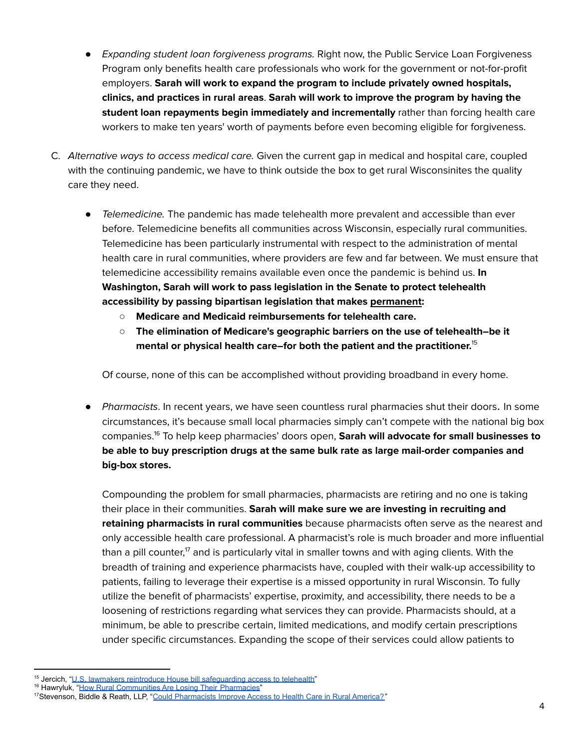- Expanding student loan forgiveness programs. Right now, the Public Service Loan Forgiveness Program only benefits health care professionals who work for the government or not-for-profit employers. **Sarah will work to expand the program to include privately owned hospitals, clinics, and practices in rural areas**. **Sarah will work to improve the program by having the student loan repayments begin immediately and incrementally** rather than forcing health care workers to make ten years' worth of payments before even becoming eligible for forgiveness.
- C. Alternative ways to access medical care. Given the current gap in medical and hospital care, coupled with the continuing pandemic, we have to think outside the box to get rural Wisconsinites the quality care they need.
	- Telemedicine. The pandemic has made telehealth more prevalent and accessible than ever before. Telemedicine benefits all communities across Wisconsin, especially rural communities. Telemedicine has been particularly instrumental with respect to the administration of mental health care in rural communities, where providers are few and far between. We must ensure that telemedicine accessibility remains available even once the pandemic is behind us. **In Washington, Sarah will work to pass legislation in the Senate to protect telehealth accessibility by passing bipartisan legislation that makes permanent:**
		- **○ Medicare and Medicaid reimbursements for telehealth care.**
		- **The elimination of Medicare's geographic barriers on the use of telehealth–be it mental or physical health care–for both the patient and the practitioner.** 15

Of course, none of this can be accomplished without providing broadband in every home.

● Pharmacists. In recent years, we have seen countless rural pharmacies shut their doors. In some circumstances, it's because small local pharmacies simply can't compete with the national big box companies. <sup>16</sup> To help keep pharmacies' doors open, **Sarah will advocate for small businesses to be able to buy prescription drugs at the same bulk rate as large mail-order companies and big-box stores.**

Compounding the problem for small pharmacies, pharmacists are retiring and no one is taking their place in their communities. **Sarah will make sure we are investing in recruiting and retaining pharmacists in rural communities** because pharmacists often serve as the nearest and only accessible health care professional. A pharmacist's role is much broader and more influential than a pill counter, $^7$  and is particularly vital in smaller towns and with aging clients. With the breadth of training and experience pharmacists have, coupled with their walk-up accessibility to patients, failing to leverage their expertise is a missed opportunity in rural Wisconsin. To fully utilize the benefit of pharmacists' expertise, proximity, and accessibility, there needs to be a loosening of restrictions regarding what services they can provide. Pharmacists should, at a minimum, be able to prescribe certain, limited medications, and modify certain prescriptions under specific circumstances. Expanding the scope of their services could allow patients to

<sup>&</sup>lt;sup>15</sup> Jercich, "U.S. lawmakers reintroduce House bill safequarding access to telehealth"

<sup>&</sup>lt;sup>16</sup> Hawryluk, "How Rural [Communities](https://khn.org/news/article/last-drugstore-how-rural-communities-lose-independent-pharmacies/) Are Losing Their Pharmacies"

<sup>&</sup>lt;sup>17</sup>Stevenson, Biddle & Reath, LLP, "Could [Pharmacists](https://nabp.pharmacy/news/blog/could-pharmacists-improve-access-to-health-care-in-rural-america/) Improve Access to Health Care in Rural America?"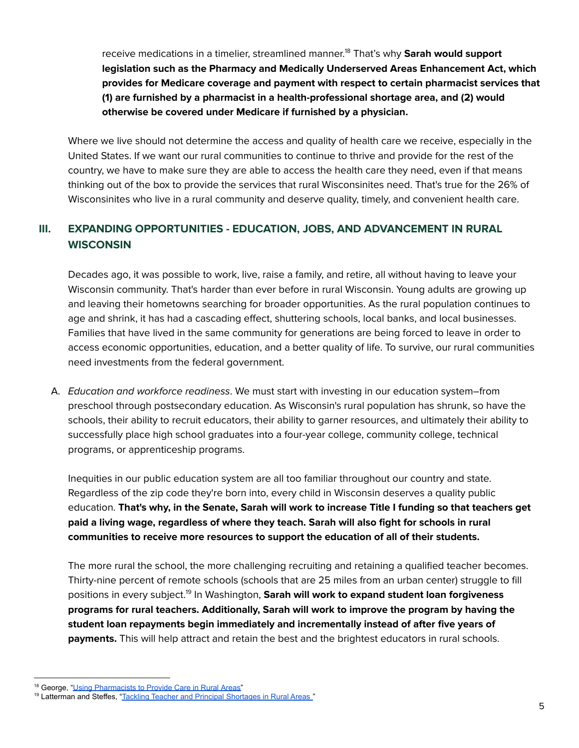receive medications in a timelier, streamlined manner. <sup>18</sup> That's why **Sarah would support legislation such as the Pharmacy and Medically Underserved Areas Enhancement Act, which provides for Medicare coverage and payment with respect to certain pharmacist services that (1) are furnished by a pharmacist in a health-professional shortage area, and (2) would otherwise be covered under Medicare if furnished by a physician.**

Where we live should not determine the access and quality of health care we receive, especially in the United States. If we want our rural communities to continue to thrive and provide for the rest of the country, we have to make sure they are able to access the health care they need, even if that means thinking out of the box to provide the services that rural Wisconsinites need. That's true for the 26% of Wisconsinites who live in a rural community and deserve quality, timely, and convenient health care.

## **III. EXPANDING OPPORTUNITIES - EDUCATION, JOBS, AND ADVANCEMENT IN RURAL WISCONSIN**

Decades ago, it was possible to work, live, raise a family, and retire, all without having to leave your Wisconsin community. That's harder than ever before in rural Wisconsin. Young adults are growing up and leaving their hometowns searching for broader opportunities. As the rural population continues to age and shrink, it has had a cascading effect, shuttering schools, local banks, and local businesses. Families that have lived in the same community for generations are being forced to leave in order to access economic opportunities, education, and a better quality of life. To survive, our rural communities need investments from the federal government.

A. Education and workforce readiness. We must start with investing in our education system–from preschool through postsecondary education. As Wisconsin's rural population has shrunk, so have the schools, their ability to recruit educators, their ability to garner resources, and ultimately their ability to successfully place high school graduates into a four-year college, community college, technical programs, or apprenticeship programs.

Inequities in our public education system are all too familiar throughout our country and state. Regardless of the zip code they're born into, every child in Wisconsin deserves a quality public education. **That's why, in the Senate, Sarah will work to increase Title I funding so that teachers get paid a living wage, regardless of where they teach. Sarah will also fight for schools in rural communities to receive more resources to support the education of all of their students.**

The more rural the school, the more challenging recruiting and retaining a qualified teacher becomes. Thirty-nine percent of remote schools (schools that are 25 miles from an urban center) struggle to fill positions in every subject. 19 In Washington, **Sarah will work to expand student loan forgiveness programs for rural teachers. Additionally, Sarah will work to improve the program by having the student loan repayments begin immediately and incrementally instead of after five years of payments.** This will help attract and retain the best and the brightest educators in rural schools.

<sup>&</sup>lt;sup>18</sup> George, "Using [Pharmacists](https://www.ncsl.org/blog/2020/08/03/using-pharmacists-to-provide-care-in-rural-areas.aspx) to Provide Care in Rural Areas"

<sup>&</sup>lt;sup>19</sup> Latterman and Steffes, "Tackling Teacher and Principal [Shortages](https://www.ncsl.org/research/education/tackling-teacher-and-principal-shortages-in-rural-areas.aspx) in Rural Areas"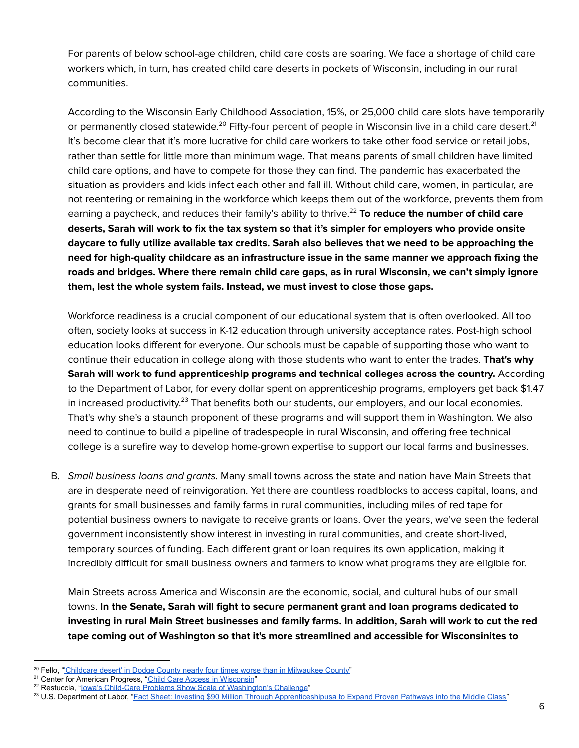For parents of below school-age children, child care costs are soaring. We face a shortage of child care workers which, in turn, has created child care deserts in pockets of Wisconsin, including in our rural communities.

According to the Wisconsin Early Childhood Association, 15%, or 25,000 child care slots have temporarily or permanently closed statewide.<sup>20</sup> Fifty-four percent of people in Wisconsin live in a child care desert.<sup>21</sup> It's become clear that it's more lucrative for child care workers to take other food service or retail jobs, rather than settle for little more than minimum wage. That means parents of small children have limited child care options, and have to compete for those they can find. The pandemic has exacerbated the situation as providers and kids infect each other and fall ill. Without child care, women, in particular, are not reentering or remaining in the workforce which keeps them out of the workforce, prevents them from earning a paycheck, and reduces their family's ability to thrive. <sup>22</sup> **To reduce the number of child care** deserts, Sarah will work to fix the tax system so that it's simpler for employers who provide onsite **daycare to fully utilize available tax credits. Sarah also believes that we need to be approaching the need for high-quality childcare as an infrastructure issue in the same manner we approach fixing the roads and bridges. Where there remain child care gaps, as in rural Wisconsin, we can't simply ignore them, lest the whole system fails. Instead, we must invest to close those gaps.**

Workforce readiness is a crucial component of our educational system that is often overlooked. All too often, society looks at success in K-12 education through university acceptance rates. Post-high school education looks different for everyone. Our schools must be capable of supporting those who want to continue their education in college along with those students who want to enter the trades. **That's why Sarah will work to fund apprenticeship programs and technical colleges across the country.** According to the Department of Labor, for every dollar spent on apprenticeship programs, employers get back \$1.47 in increased productivity.<sup>23</sup> That benefits both our students, our employers, and our local economies. That's why she's a staunch proponent of these programs and will support them in Washington. We also need to continue to build a pipeline of tradespeople in rural Wisconsin, and offering free technical college is a surefire way to develop home-grown expertise to support our local farms and businesses.

B. Small business loans and grants. Many small towns across the state and nation have Main Streets that are in desperate need of reinvigoration. Yet there are countless roadblocks to access capital, loans, and grants for small businesses and family farms in rural communities, including miles of red tape for potential business owners to navigate to receive grants or loans. Over the years, we've seen the federal government inconsistently show interest in investing in rural communities, and create short-lived, temporary sources of funding. Each different grant or loan requires its own application, making it incredibly difficult for small business owners and farmers to know what programs they are eligible for.

Main Streets across America and Wisconsin are the economic, social, and cultural hubs of our small towns. **In the Senate, Sarah will fight to secure permanent grant and loan programs dedicated to** investing in rural Main Street businesses and family farms. In addition, Sarah will work to cut the red **tape coming out of Washington so that it's more streamlined and accessible for Wisconsinites to**

<sup>&</sup>lt;sup>20</sup> Fello, "Childcare desert' in Dodge County nearly four times worse than in [Milwaukee](https://www.tmj4.com/news/local-news/childcare-desert-in-dodge-county-nearly-four-times-worse-than-in-milwaukee-county) County"

<sup>&</sup>lt;sup>21</sup> Center for American Progress, "Child Care Access in [Wisconsin](https://childcaredeserts.org/2018/index.html?state=WI)"

<sup>&</sup>lt;sup>22</sup> Restuccia, "lowa's Child-Care Problems Show Scale of [Washington's](https://www.wsj.com/articles/iowas-child-care-problems-show-scale-of-washingtons-challenge-11642415403) Challenge"

<sup>&</sup>lt;sup>23</sup> U.S. Department of Labor, "Fact Sheet: Investing \$90 Million Through [Apprenticeshipusa](https://www.dol.gov/newsroom/releases/osec/osec20160421) to Expand Proven Pathways into the Middle Class"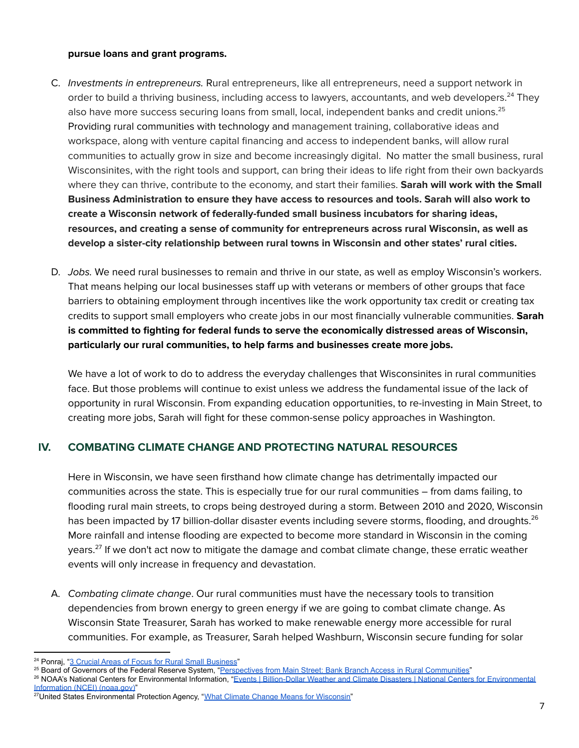#### **pursue loans and grant programs.**

- C. Investments in entrepreneurs. Rural entrepreneurs, like all entrepreneurs, need a support network in order to build a thriving business, including access to lawyers, accountants, and web developers.<sup>24</sup> They also have more success securing loans from small, local, independent banks and credit unions. 25 Providing rural communities with technology and management training, collaborative ideas and workspace, along with venture capital financing and access to independent banks, will allow rural communities to actually grow in size and become increasingly digital. No matter the small business, rural Wisconsinites, with the right tools and support, can bring their ideas to life right from their own backyards where they can thrive, contribute to the economy, and start their families. **Sarah will work with the Small Business Administration to ensure they have access to resources and tools. Sarah will also work to create a Wisconsin network of federally-funded small business incubators for sharing ideas, resources, and creating a sense of community for entrepreneurs across rural Wisconsin, as well as develop a sister-city relationship between rural towns in Wisconsin and other states' rural cities.**
- D. Jobs. We need rural businesses to remain and thrive in our state, as well as employ Wisconsin's workers. That means helping our local businesses staff up with veterans or members of other groups that face barriers to obtaining employment through incentives like the work opportunity tax credit or creating tax credits to support small employers who create jobs in our most financially vulnerable communities. **Sarah is committed to fighting for federal funds to serve the economically distressed areas of Wisconsin, particularly our rural communities, to help farms and businesses create more jobs.**

We have a lot of work to do to address the everyday challenges that Wisconsinites in rural communities face. But those problems will continue to exist unless we address the fundamental issue of the lack of opportunity in rural Wisconsin. From expanding education opportunities, to re-investing in Main Street, to creating more jobs, Sarah will fight for these common-sense policy approaches in Washington.

## **IV. COMBATING CLIMATE CHANGE AND PROTECTING NATURAL RESOURCES**

Here in Wisconsin, we have seen firsthand how climate change has detrimentally impacted our communities across the state. This is especially true for our rural communities – from dams failing, to flooding rural main streets, to crops being destroyed during a storm. Between 2010 and 2020, Wisconsin has been impacted by 17 billion-dollar disaster events including severe storms, flooding, and droughts. 26 More rainfall and intense flooding are expected to become more standard in Wisconsin in the coming years. 27 If we don't act now to mitigate the damage and combat climate change, these erratic weather events will only increase in frequency and devastation.

A. Combating climate change. Our rural communities must have the necessary tools to transition dependencies from brown energy to green energy if we are going to combat climate change. As Wisconsin State Treasurer, Sarah has worked to make renewable energy more accessible for rural communities. For example, as Treasurer, Sarah helped Washburn, Wisconsin secure funding for solar

<sup>&</sup>lt;sup>24</sup> Ponraj, "3 Crucial Areas of Focus for Rural Small [Business"](https://www.ruralrise.org/rural-small-business-focus/)

<sup>&</sup>lt;sup>25</sup> Board of Governors of the Federal Reserve System, "Perspectives from Main Street: Bank Branch Access in Rural [Communities"](https://www.federalreserve.gov/publications/files/bank-branch-access-in-rural-communities.pdf)

<sup>&</sup>lt;sup>26</sup> NOAA's National Centers for [Environmental](https://www.ncdc.noaa.gov/billions/events/WI/2010-2020) Information, "Events | Billion-Dollar Weather and Climate Disasters | National Centers for Environmental [Information](https://www.ncdc.noaa.gov/billions/events/WI/2010-2020) (NCEI) (noaa.gov)"

<sup>&</sup>lt;sup>27</sup>United States Environmental Protection Agency, "What Climate Change Means for [Wisconsin"](https://19january2017snapshot.epa.gov/sites/production/files/2016-09/documents/climate-change-wi.pdf)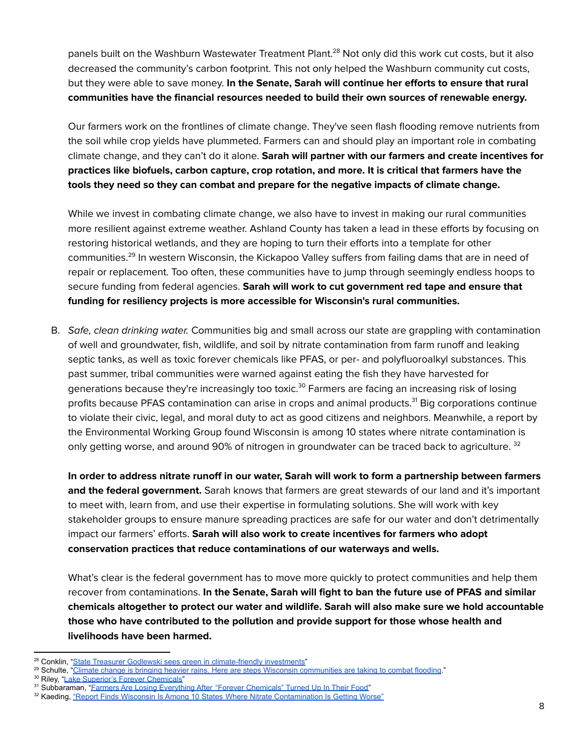panels built on the Washburn Wastewater Treatment Plant. <sup>28</sup> Not only did this work cut costs, but it also decreased the community's carbon footprint. This not only helped the Washburn community cut costs, but they were able to save money. **In the Senate, Sarah will continue her efforts to ensure that rural communities have the financial resources needed to build their own sources of renewable energy.**

Our farmers work on the frontlines of climate change. They've seen flash flooding remove nutrients from the soil while crop yields have plummeted. Farmers can and should play an important role in combating climate change, and they can't do it alone. **Sarah will partner with our farmers and create incentives for practices like biofuels, carbon capture, crop rotation, and more. It is critical that farmers have the tools they need so they can combat and prepare for the negative impacts of climate change.**

While we invest in combating climate change, we also have to invest in making our rural communities more resilient against extreme weather. Ashland County has taken a lead in these efforts by focusing on restoring historical wetlands, and they are hoping to turn their efforts into a template for other communities.<sup>29</sup> In western Wisconsin, the Kickapoo Valley suffers from failing dams that are in need of repair or replacement. Too often, these communities have to jump through seemingly endless hoops to secure funding from federal agencies. **Sarah will work to cut government red tape and ensure that funding for resiliency projects is more accessible for Wisconsin's rural communities.**

B. Safe, clean drinking water. Communities big and small across our state are grappling with contamination of well and groundwater, fish, wildlife, and soil by nitrate contamination from farm runoff and leaking septic tanks, as well as toxic forever chemicals like PFAS, or per- and polyfluoroalkyl substances. This past summer, tribal communities were warned against eating the fish they have harvested for generations because they're increasingly too toxic.<sup>30</sup> Farmers are facing an increasing risk of losing profits because PFAS contamination can arise in crops and animal products.<sup>31</sup> Big corporations continue to violate their civic, legal, and moral duty to act as good citizens and neighbors. Meanwhile, a report by the Environmental Working Group found Wisconsin is among 10 states where nitrate contamination is only getting worse, and around 90% of nitrogen in groundwater can be traced back to agriculture. <sup>32</sup>

In order to address nitrate runoff in our water, Sarah will work to form a partnership between farmers **and the federal government.** Sarah knows that farmers are great stewards of our land and it's important to meet with, learn from, and use their expertise in formulating solutions. She will work with key stakeholder groups to ensure manure spreading practices are safe for our water and don't detrimentally impact our farmers' efforts. **Sarah will also work to create incentives for farmers who adopt conservation practices that reduce contaminations of our waterways and wells.**

What's clear is the federal government has to move more quickly to protect communities and help them recover from contaminations. **In the Senate, Sarah will fight to ban the future use of PFAS and similar chemicals altogether to protect our water and wildlife. Sarah will also make sure we hold accountable those who have contributed to the pollution and provide support for those whose health and livelihoods have been harmed.**

<sup>30</sup> Riley, "Lake Superior's Forever [Chemicals"](https://www.washingtonpost.com/magazine/2022/01/12/lake-superior-forever-chemicals/)

<sup>&</sup>lt;sup>28</sup> Conklin, "State Treasurer Godlewski sees green in [climate-friendly](https://wisconsinexaminer.com/2019/08/22/state-treasurer-godlewski-sees-green-in-climate-friendly-investments/) investments"

<sup>&</sup>lt;sup>29</sup> Schulte, "Climate change is bringing heavier rains. Here are steps Wisconsin [communities](https://www.jsonline.com/story/news/local/wisconsin/2021/05/06/wisconsin-communities-combat-flooding-warming-brings-heavier-rains/7285113002/) are taking to combat flooding."

<sup>&</sup>lt;sup>31</sup> Subbaraman, "Earmers Are Losing Everything After "Forever [Chemicals"](https://www.buzzfeednews.com/article/nidhisubbaraman/pfas-food-farms-milk-produce) Turned Up In Their Food"

<sup>32</sup> Kaeding, "Report Finds Wisconsin Is Among 10 States Where Nitrate [Contamination](https://www.wpr.org/report-finds-wisconsin-among-10-states-where-nitrate-contamination-getting-worse) Is Getting Worse"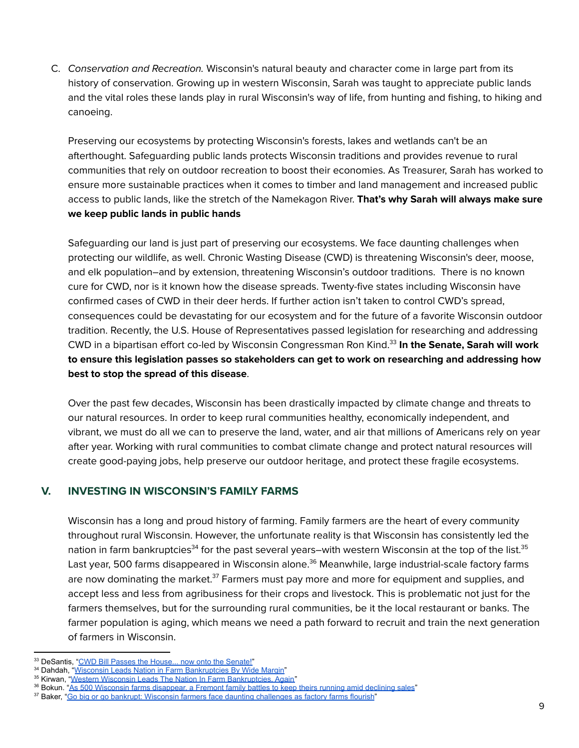C. Conservation and Recreation. Wisconsin's natural beauty and character come in large part from its history of conservation. Growing up in western Wisconsin, Sarah was taught to appreciate public lands and the vital roles these lands play in rural Wisconsin's way of life, from hunting and fishing, to hiking and canoeing.

Preserving our ecosystems by protecting Wisconsin's forests, lakes and wetlands can't be an afterthought. Safeguarding public lands protects Wisconsin traditions and provides revenue to rural communities that rely on outdoor recreation to boost their economies. As Treasurer, Sarah has worked to ensure more sustainable practices when it comes to timber and land management and increased public access to public lands, like the stretch of the Namekagon River. **That's why Sarah will always make sure we keep public lands in public hands**

Safeguarding our land is just part of preserving our ecosystems. We face daunting challenges when protecting our wildlife, as well. Chronic Wasting Disease (CWD) is threatening Wisconsin's deer, moose, and elk population–and by extension, threatening Wisconsin's outdoor traditions. There is no known cure for CWD, nor is it known how the disease spreads. Twenty-five states including Wisconsin have confirmed cases of CWD in their deer herds. If further action isn't taken to control CWD's spread, consequences could be devastating for our ecosystem and for the future of a favorite Wisconsin outdoor tradition. Recently, the U.S. House of Representatives passed legislation for researching and addressing CWD in a bipartisan effort co-led by Wisconsin Congressman Ron Kind. 33 **In the Senate, Sarah will work to ensure this legislation passes so stakeholders can get to work on researching and addressing how best to stop the spread of this disease**.

Over the past few decades, Wisconsin has been drastically impacted by climate change and threats to our natural resources. In order to keep rural communities healthy, economically independent, and vibrant, we must do all we can to preserve the land, water, and air that millions of Americans rely on year after year. Working with rural communities to combat climate change and protect natural resources will create good-paying jobs, help preserve our outdoor heritage, and protect these fragile ecosystems.

## **V. INVESTING IN WISCONSIN'S FAMILY FARMS**

Wisconsin has a long and proud history of farming. Family farmers are the heart of every community throughout rural Wisconsin. However, the unfortunate reality is that Wisconsin has consistently led the nation in farm bankruptcies<sup>34</sup> for the past several years–with western Wisconsin at the top of the list.<sup>35</sup> Last year, 500 farms disappeared in Wisconsin alone. <sup>36</sup> Meanwhile, large industrial-scale factory farms are now dominating the market.<sup>37</sup> Farmers must pay more and more for equipment and supplies, and accept less and less from agribusiness for their crops and livestock. This is problematic not just for the farmers themselves, but for the surrounding rural communities, be it the local restaurant or banks. The farmer population is aging, which means we need a path forward to recruit and train the next generation of farmers in Wisconsin.

<sup>33</sup> DeSantis, "CWD Bill Passes the [House...](https://www.nwf.org/Outdoors/Blog/12-08-2021-CWD-Bill-Passes-The-House) now onto the Senate!"

<sup>34</sup> Dahdah, "Wisconsin Leads Nation in Farm [Bankruptcies](https://spectrumnews1.com/wi/milwaukee/news/2021/02/10/wisconsin-leads-nation-in-farm-bankruptcies-by-wide-margin) By Wide Margin"

<sup>&</sup>lt;sup>35</sup> Kirwan, "Western Wisconsin Leads The Nation In Farm [Bankruptcies,](https://www.wpr.org/western-wisconsin-leads-nation-farm-bankruptcies-again) Again"

<sup>36</sup> Bokun. "As 500 Wisconsin farms [disappear,](https://www.nbc26.com/news/local-news/the-number-of-small-family-owned-farms-in-wisconsin-continues-to-decline) a Fremont family battles to keep theirs running amid declining sales"

<sup>&</sup>lt;sup>37</sup> Baker, "Go big or go bankrupt: Wisconsin farmers face daunting [challenges](https://badgerherald.com/features/2021/12/07/go-big-or-go-bankrupt-wisconsin-farmers-face-daunting-challenges-as-factory-farms-flourish/) as factory farms flourish"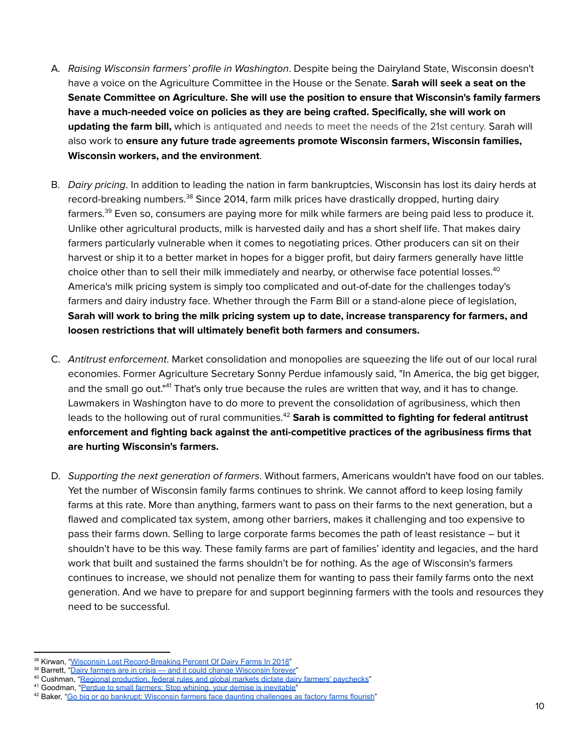- A. Raising Wisconsin farmers' profile in Washington. Despite being the Dairyland State, Wisconsin doesn't have a voice on the Agriculture Committee in the House or the Senate. **Sarah will seek a seat on the Senate Committee on Agriculture. She will use the position to ensure that Wisconsin's family farmers have a much-needed voice on policies as they are being crafted. Specifically, she will work on updating the farm bill,** which is antiquated and needs to meet the needs of the 21st century. Sarah will also work to **ensure any future trade agreements promote Wisconsin farmers, Wisconsin families, Wisconsin workers, and the environment**.
- B. Dairy pricing. In addition to leading the nation in farm bankruptcies, Wisconsin has lost its dairy herds at record-breaking numbers. $^{\rm 38}$  Since 2014, farm milk prices have drastically dropped, hurting dairy farmers.<sup>39</sup> Even so, consumers are paying more for milk while farmers are being paid less to produce it. Unlike other agricultural products, milk is harvested daily and has a short shelf life. That makes dairy farmers particularly vulnerable when it comes to negotiating prices. Other producers can sit on their harvest or ship it to a better market in hopes for a bigger profit, but dairy farmers generally have little choice other than to sell their milk immediately and nearby, or otherwise face potential losses. $^{40}$ America's milk pricing system is simply too complicated and out-of-date for the challenges today's farmers and dairy industry face. Whether through the Farm Bill or a stand-alone piece of legislation, **Sarah will work to bring the milk pricing system up to date, increase transparency for farmers, and loosen restrictions that will ultimately benefit both farmers and consumers.**
- C. Antitrust enforcement. Market consolidation and monopolies are squeezing the life out of our local rural economies. Former Agriculture Secretary Sonny Perdue infamously said, "In America, the big get bigger, and the small go out."<sup>41</sup> That's only true because the rules are written that way, and it has to change. Lawmakers in Washington have to do more to prevent the consolidation of agribusiness, which then leads to the hollowing out of rural communities. <sup>42</sup> **Sarah is committed to fighting for federal antitrust enforcement and fighting back against the anti-competitive practices of the agribusiness firms that are hurting Wisconsin's farmers.**
- D. Supporting the next generation of farmers. Without farmers, Americans wouldn't have food on our tables. Yet the number of Wisconsin family farms continues to shrink. We cannot afford to keep losing family farms at this rate. More than anything, farmers want to pass on their farms to the next generation, but a flawed and complicated tax system, among other barriers, makes it challenging and too expensive to pass their farms down. Selling to large corporate farms becomes the path of least resistance – but it shouldn't have to be this way. These family farms are part of families' identity and legacies, and the hard work that built and sustained the farms shouldn't be for nothing. As the age of Wisconsin's farmers continues to increase, we should not penalize them for wanting to pass their family farms onto the next generation. And we have to prepare for and support beginning farmers with the tools and resources they need to be successful.

<sup>&</sup>lt;sup>38</sup> Kirwan, "Wisconsin Lost [Record-Breaking](https://www.wpr.org/wisconsin-lost-record-breaking-percent-dairy-farms-2018) Percent Of Dairy Farms In 2018"

<sup>&</sup>lt;sup>39</sup> Barrett, "Dairy farmers are in crisis — and it could change [Wisconsin](https://www.wisfarmer.com/in-depth/news/special-reports/dairy-crisis/2019/02/21/wisconsin-dairy-farms-failing-milk-prices-fall/2540796002/) forever"

<sup>&</sup>lt;sup>40</sup> Cushman, "Regional [production,](https://www.wisfarmer.com/story/news/2019/04/11/ever-wonder-what-factors-impact-milk-prices-and-farmers-paychecks/3443889002/) federal rules and global markets dictate dairy farmers' paychecks"

<sup>41</sup> Goodman, "Perdue to small farmers: Stop whining, your demise is [inevitable"](https://wisconsinexaminer.com/2019/10/03/perdue-to-small-farmers-stop-whining-your-demise-is-inevitable/)

<sup>42</sup> Baker, "Go big or go bankrupt: Wisconsin farmers face daunting [challenges](https://badgerherald.com/features/2021/12/07/go-big-or-go-bankrupt-wisconsin-farmers-face-daunting-challenges-as-factory-farms-flourish/) as factory farms flourish"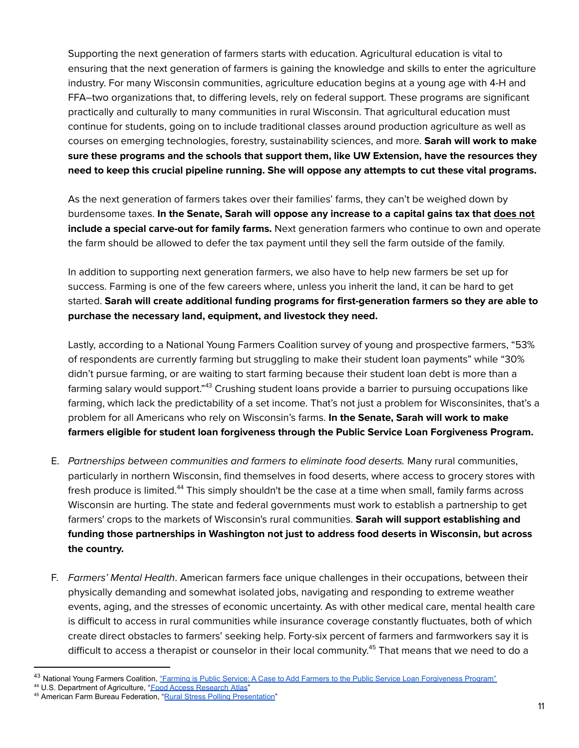Supporting the next generation of farmers starts with education. Agricultural education is vital to ensuring that the next generation of farmers is gaining the knowledge and skills to enter the agriculture industry. For many Wisconsin communities, agriculture education begins at a young age with 4-H and FFA–two organizations that, to differing levels, rely on federal support. These programs are significant practically and culturally to many communities in rural Wisconsin. That agricultural education must continue for students, going on to include traditional classes around production agriculture as well as courses on emerging technologies, forestry, sustainability sciences, and more. **Sarah will work to make sure these programs and the schools that support them, like UW Extension, have the resources they need to keep this crucial pipeline running. She will oppose any attempts to cut these vital programs.**

As the next generation of farmers takes over their families' farms, they can't be weighed down by burdensome taxes. **In the Senate, Sarah will oppose any increase to a capital gains tax that does not include a special carve-out for family farms.** Next generation farmers who continue to own and operate the farm should be allowed to defer the tax payment until they sell the farm outside of the family.

In addition to supporting next generation farmers, we also have to help new farmers be set up for success. Farming is one of the few careers where, unless you inherit the land, it can be hard to get started. **Sarah will create additional funding programs for first-generation farmers so they are able to purchase the necessary land, equipment, and livestock they need.**

Lastly, according to a National Young Farmers Coalition survey of young and prospective farmers, "53% of respondents are currently farming but struggling to make their student loan payments" while "30% didn't pursue farming, or are waiting to start farming because their student loan debt is more than a farming salary would support."<sup>43</sup> Crushing student loans provide a barrier to pursuing occupations like farming, which lack the predictability of a set income. That's not just a problem for Wisconsinites, that's a problem for all Americans who rely on Wisconsin's farms. **In the Senate, Sarah will work to make farmers eligible for student loan forgiveness through the Public Service Loan Forgiveness Program.**

- E. Partnerships between communities and farmers to eliminate food deserts. Many rural communities, particularly in northern Wisconsin, find themselves in food deserts, where access to grocery stores with fresh produce is limited.<sup>44</sup> This simply shouldn't be the case at a time when small, family farms across Wisconsin are hurting. The state and federal governments must work to establish a partnership to get farmers' crops to the markets of Wisconsin's rural communities. **Sarah will support establishing and funding those partnerships in Washington not just to address food deserts in Wisconsin, but across the country.**
- F. Farmers' Mental Health. American farmers face unique challenges in their occupations, between their physically demanding and somewhat isolated jobs, navigating and responding to extreme weather events, aging, and the stresses of economic uncertainty. As with other medical care, mental health care is difficult to access in rural communities while insurance coverage constantly fluctuates, both of which create direct obstacles to farmers' seeking help. Forty-six percent of farmers and farmworkers say it is difficult to access a therapist or counselor in their local community. <sup>45</sup> That means that we need to do a

<sup>43</sup> National Young Farmers Coalition, "Farming is Public Service: A Case to Add Farmers to the Public Service Loan [Forgiveness](https://www.youngfarmers.org/wp-content/uploads/2015/06/StudentLoanReport3.pdf) Program"

<sup>44</sup> U.S. Department of Agriculture, "Food Access [Research](https://www.ers.usda.gov/data-products/food-access-research-atlas/go-to-the-atlas/) Atlas"

<sup>45</sup> American Farm Bureau Federation, "Rural Stress Polling [Presentation"](https://www.fb.org/files/AFBF_Rural_Stress_Polling_Presentation_04.16.19.pdf)